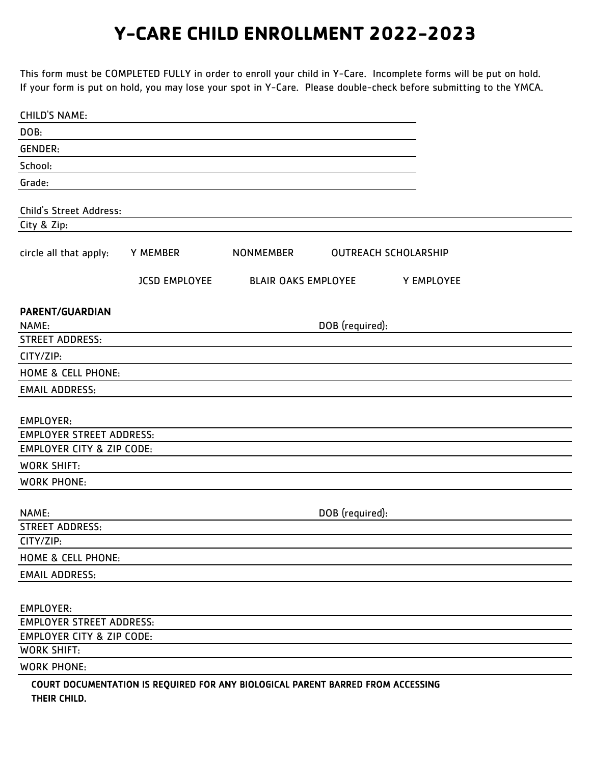This form must be COMPLETED FULLY in order to enroll your child in Y-Care. Incomplete forms will be put on hold. If your form is put on hold, you may lose your spot in Y-Care. Please double-check before submitting to the YMCA.

| <b>CHILD'S NAME:</b>                                |                                                                                 |                            |                 |                             |  |
|-----------------------------------------------------|---------------------------------------------------------------------------------|----------------------------|-----------------|-----------------------------|--|
| DOB:                                                |                                                                                 |                            |                 |                             |  |
| <b>GENDER:</b>                                      |                                                                                 |                            |                 |                             |  |
| School:                                             |                                                                                 |                            |                 |                             |  |
| Grade:                                              |                                                                                 |                            |                 |                             |  |
|                                                     |                                                                                 |                            |                 |                             |  |
| Child's Street Address:                             |                                                                                 |                            |                 |                             |  |
| City & Zip:                                         |                                                                                 |                            |                 |                             |  |
| circle all that apply:                              | Y MEMBER                                                                        | <b>NONMEMBER</b>           |                 | <b>OUTREACH SCHOLARSHIP</b> |  |
|                                                     | <b>JCSD EMPLOYEE</b>                                                            | <b>BLAIR OAKS EMPLOYEE</b> |                 | Y EMPLOYEE                  |  |
| PARENT/GUARDIAN                                     |                                                                                 |                            |                 |                             |  |
| NAME:                                               |                                                                                 |                            | DOB (required): |                             |  |
| <b>STREET ADDRESS:</b>                              |                                                                                 |                            |                 |                             |  |
| CITY/ZIP:                                           |                                                                                 |                            |                 |                             |  |
| <b>HOME &amp; CELL PHONE:</b>                       |                                                                                 |                            |                 |                             |  |
| <b>EMAIL ADDRESS:</b>                               |                                                                                 |                            |                 |                             |  |
|                                                     |                                                                                 |                            |                 |                             |  |
| <b>EMPLOYER:</b><br><b>EMPLOYER STREET ADDRESS:</b> |                                                                                 |                            |                 |                             |  |
| <b>EMPLOYER CITY &amp; ZIP CODE:</b>                |                                                                                 |                            |                 |                             |  |
| <b>WORK SHIFT:</b>                                  |                                                                                 |                            |                 |                             |  |
| <b>WORK PHONE:</b>                                  |                                                                                 |                            |                 |                             |  |
|                                                     |                                                                                 |                            |                 |                             |  |
| NAME:                                               |                                                                                 |                            | DOB (required): |                             |  |
| <b>STREET ADDRESS:</b>                              |                                                                                 |                            |                 |                             |  |
| CITY/ZIP:                                           |                                                                                 |                            |                 |                             |  |
| HOME & CELL PHONE:                                  |                                                                                 |                            |                 |                             |  |
| <b>EMAIL ADDRESS:</b>                               |                                                                                 |                            |                 |                             |  |
|                                                     |                                                                                 |                            |                 |                             |  |
| <b>EMPLOYER:</b>                                    |                                                                                 |                            |                 |                             |  |
| <b>EMPLOYER STREET ADDRESS:</b>                     |                                                                                 |                            |                 |                             |  |
| <b>EMPLOYER CITY &amp; ZIP CODE:</b>                |                                                                                 |                            |                 |                             |  |
| <b>WORK SHIFT:</b>                                  |                                                                                 |                            |                 |                             |  |
| <b>WORK PHONE:</b>                                  |                                                                                 |                            |                 |                             |  |
|                                                     | COURT DOCUMENTATION IS REQUIRED FOR ANY BIOLOGICAL PARENT BARRED FROM ACCESSING |                            |                 |                             |  |
| THEIR CHILD.                                        |                                                                                 |                            |                 |                             |  |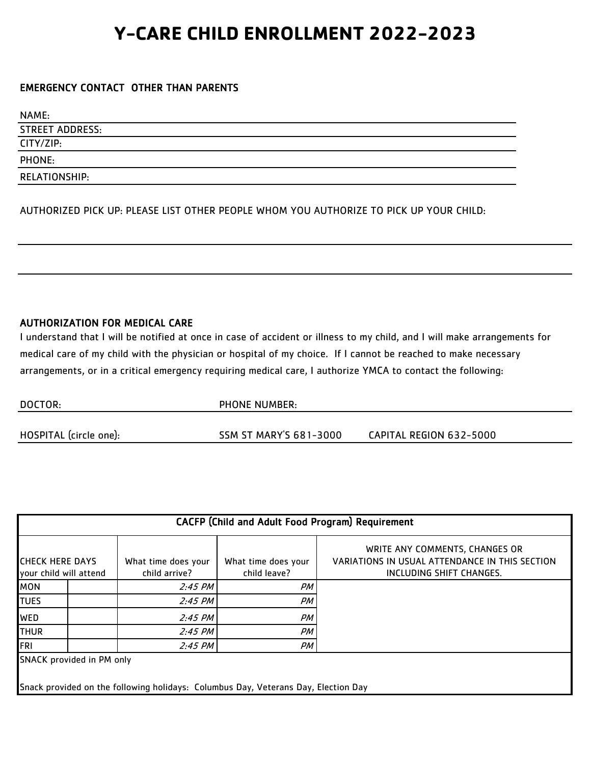#### EMERGENCY CONTACT OTHER THAN PARENTS

| NAME:                  |
|------------------------|
| <b>STREET ADDRESS:</b> |
| CITY/ZIP:              |
| PHONE:                 |
| RELATIONSHIP:          |

AUTHORIZED PICK UP: PLEASE LIST OTHER PEOPLE WHOM YOU AUTHORIZE TO PICK UP YOUR CHILD:

#### AUTHORIZATION FOR MEDICAL CARE

I understand that I will be notified at once in case of accident or illness to my child, and I will make arrangements for arrangements, or in a critical emergency requiring medical care, I authorize YMCA to contact the following: medical care of my child with the physician or hospital of my choice. If I cannot be reached to make necessary

| DOCTOR:                | <b>PHONE NUMBER:</b>          |                         |  |
|------------------------|-------------------------------|-------------------------|--|
|                        |                               |                         |  |
| HOSPITAL (circle one): | <b>SSM ST MARY'S 681-3000</b> | CAPITAL REGION 632-5000 |  |

| <b>CACFP (Child and Adult Food Program) Requirement</b>                                                         |  |                                      |                                     |                                                                                                              |  |  |
|-----------------------------------------------------------------------------------------------------------------|--|--------------------------------------|-------------------------------------|--------------------------------------------------------------------------------------------------------------|--|--|
| <b>CHECK HERE DAYS</b><br>your child will attend                                                                |  | What time does your<br>child arrive? | What time does your<br>child leave? | WRITE ANY COMMENTS, CHANGES OR<br>VARIATIONS IN USUAL ATTENDANCE IN THIS SECTION<br>INCLUDING SHIFT CHANGES. |  |  |
| <b>MON</b>                                                                                                      |  | $2:45$ PM                            | PМ                                  |                                                                                                              |  |  |
| <b>TUES</b>                                                                                                     |  | $2:45$ PM                            | PМ                                  |                                                                                                              |  |  |
| <b>WED</b>                                                                                                      |  | $2:45$ PM                            | PМ                                  |                                                                                                              |  |  |
| <b>THUR</b>                                                                                                     |  | $2:45$ PM                            | PМ                                  |                                                                                                              |  |  |
| FRI                                                                                                             |  | $2:45$ PM                            | PM                                  |                                                                                                              |  |  |
| SNACK provided in PM only<br>Snack provided on the following holidays: Columbus Day, Veterans Day, Election Day |  |                                      |                                     |                                                                                                              |  |  |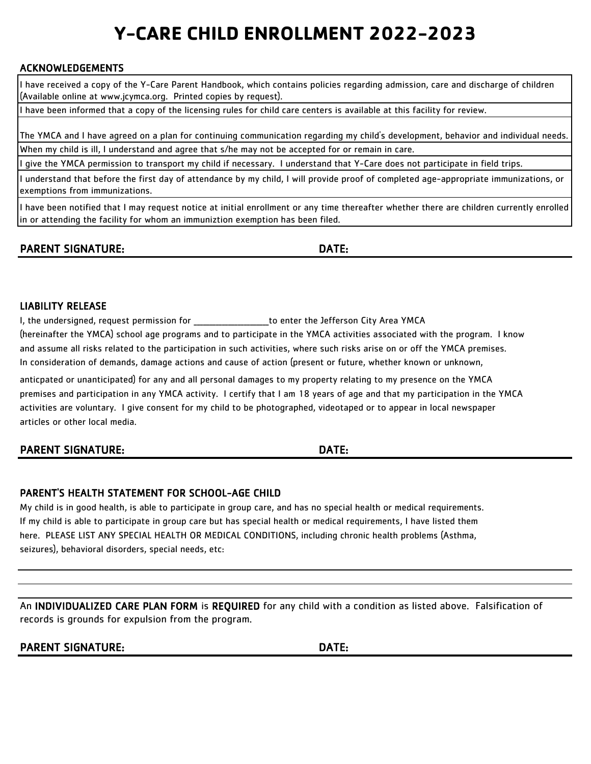#### ACKNOWLEDGEMENTS

I have received a copy of the Y-Care Parent Handbook, which contains policies regarding admission, care and discharge of children (Available online at www.jcymca.org. Printed copies by request).

I have been informed that a copy of the licensing rules for child care centers is available at this facility for review.

When my child is ill, I understand and agree that s/he may not be accepted for or remain in care. The YMCA and I have agreed on a plan for continuing communication regarding my child's development, behavior and individual needs.

I give the YMCA permission to transport my child if necessary. I understand that Y-Care does not participate in field trips.

I understand that before the first day of attendance by my child, I will provide proof of completed age-appropriate immunizations, or exemptions from immunizations.

I have been notified that I may request notice at initial enrollment or any time thereafter whether there are children currently enrolled in or attending the facility for whom an immuniztion exemption has been filed.

### PARENT SIGNATURE: DATE:

#### LIABILITY RELEASE

and assume all risks related to the participation in such activities, where such risks arise on or off the YMCA premises. In consideration of demands, damage actions and cause of action (present or future, whether known or unknown, (hereinafter the YMCA) school age programs and to participate in the YMCA activities associated with the program. I know I, the undersigned, request permission for enter the Jefferson City Area YMCA

anticpated or unanticipated) for any and all personal damages to my property relating to my presence on the YMCA premises and participation in any YMCA activity. I certify that I am 18 years of age and that my participation in the YMCA activities are voluntary. I give consent for my child to be photographed, videotaped or to appear in local newspaper articles or other local media.

PARENT SIGNATURE: DATE:

#### PARENT'S HEALTH STATEMENT FOR SCHOOL-AGE CHILD

My child is in good health, is able to participate in group care, and has no special health or medical requirements. If my child is able to participate in group care but has special health or medical requirements, I have listed them seizures), behavioral disorders, special needs, etc: here. PLEASE LIST ANY SPECIAL HEALTH OR MEDICAL CONDITIONS, including chronic health problems (Asthma,

An INDIVIDUALIZED CARE PLAN FORM is REQUIRED for any child with a condition as listed above. Falsification of records is grounds for expulsion from the program.

PARENT SIGNATURE: DATE: